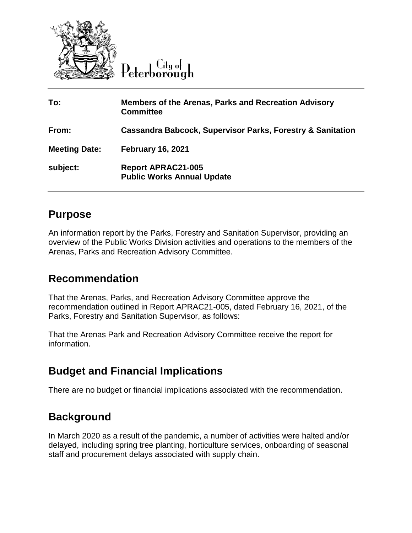

| To:                  | <b>Members of the Arenas, Parks and Recreation Advisory</b><br><b>Committee</b> |
|----------------------|---------------------------------------------------------------------------------|
| From:                | <b>Cassandra Babcock, Supervisor Parks, Forestry &amp; Sanitation</b>           |
| <b>Meeting Date:</b> | <b>February 16, 2021</b>                                                        |
| subject:             | <b>Report APRAC21-005</b><br><b>Public Works Annual Update</b>                  |

## **Purpose**

An information report by the Parks, Forestry and Sanitation Supervisor, providing an overview of the Public Works Division activities and operations to the members of the Arenas, Parks and Recreation Advisory Committee.

### **Recommendation**

That the Arenas, Parks, and Recreation Advisory Committee approve the recommendation outlined in Report APRAC21-005, dated February 16, 2021, of the Parks, Forestry and Sanitation Supervisor, as follows:

That the Arenas Park and Recreation Advisory Committee receive the report for information.

# **Budget and Financial Implications**

There are no budget or financial implications associated with the recommendation.

# **Background**

In March 2020 as a result of the pandemic, a number of activities were halted and/or delayed, including spring tree planting, horticulture services, onboarding of seasonal staff and procurement delays associated with supply chain.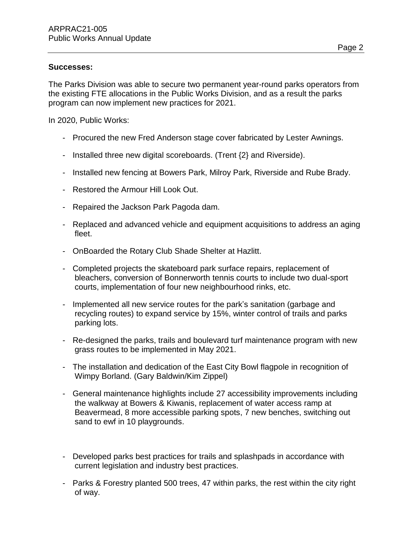#### **Successes:**

The Parks Division was able to secure two permanent year-round parks operators from the existing FTE allocations in the Public Works Division, and as a result the parks program can now implement new practices for 2021.

In 2020, Public Works:

- Procured the new Fred Anderson stage cover fabricated by Lester Awnings.
- Installed three new digital scoreboards. (Trent {2} and Riverside).
- Installed new fencing at Bowers Park, Milroy Park, Riverside and Rube Brady.
- Restored the Armour Hill Look Out.
- Repaired the Jackson Park Pagoda dam.
- Replaced and advanced vehicle and equipment acquisitions to address an aging fleet.
- OnBoarded the Rotary Club Shade Shelter at Hazlitt.
- Completed projects the skateboard park surface repairs, replacement of bleachers, conversion of Bonnerworth tennis courts to include two dual-sport courts, implementation of four new neighbourhood rinks, etc.
- Implemented all new service routes for the park's sanitation (garbage and recycling routes) to expand service by 15%, winter control of trails and parks parking lots.
- Re-designed the parks, trails and boulevard turf maintenance program with new grass routes to be implemented in May 2021.
- The installation and dedication of the East City Bowl flagpole in recognition of Wimpy Borland. (Gary Baldwin/Kim Zippel)
- General maintenance highlights include 27 accessibility improvements including the walkway at Bowers & Kiwanis, replacement of water access ramp at Beavermead, 8 more accessible parking spots, 7 new benches, switching out sand to ewf in 10 playgrounds.
- Developed parks best practices for trails and splashpads in accordance with current legislation and industry best practices.
- Parks & Forestry planted 500 trees, 47 within parks, the rest within the city right of way.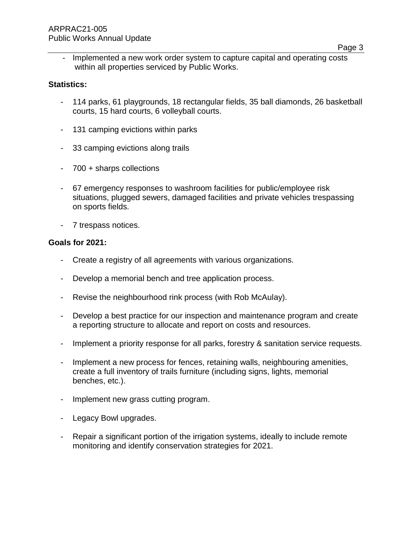- Implemented a new work order system to capture capital and operating costs within all properties serviced by Public Works.

#### **Statistics:**

- 114 parks, 61 playgrounds, 18 rectangular fields, 35 ball diamonds, 26 basketball courts, 15 hard courts, 6 volleyball courts.
- 131 camping evictions within parks
- 33 camping evictions along trails
- 700 + sharps collections
- 67 emergency responses to washroom facilities for public/employee risk situations, plugged sewers, damaged facilities and private vehicles trespassing on sports fields.
- 7 trespass notices.

#### **Goals for 2021:**

- Create a registry of all agreements with various organizations.
- Develop a memorial bench and tree application process.
- Revise the neighbourhood rink process (with Rob McAulay).
- Develop a best practice for our inspection and maintenance program and create a reporting structure to allocate and report on costs and resources.
- Implement a priority response for all parks, forestry & sanitation service requests.
- Implement a new process for fences, retaining walls, neighbouring amenities, create a full inventory of trails furniture (including signs, lights, memorial benches, etc.).
- Implement new grass cutting program.
- Legacy Bowl upgrades.
- Repair a significant portion of the irrigation systems, ideally to include remote monitoring and identify conservation strategies for 2021.